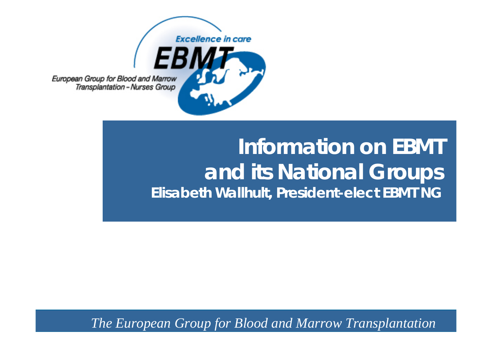

European Group for Blood and Marrow Transplantation - Nurses Group

## **Information on EBMTand its National Groups Elisabeth Wallhult, President-elect EBMT NG**

*The European Group for Blood and Marrow Transplantation*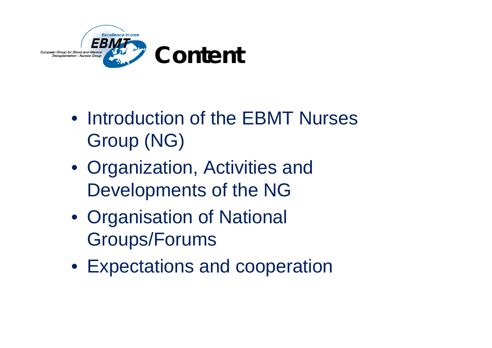

- Introduction of the EBMT Nurses Group (NG)
- Organization, Activities and Developments of the NG
- Organisation of National Groups/Forums
- Expectations and cooperation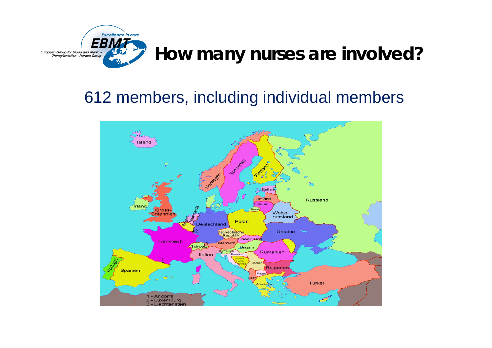

#### 612 members, including individual members

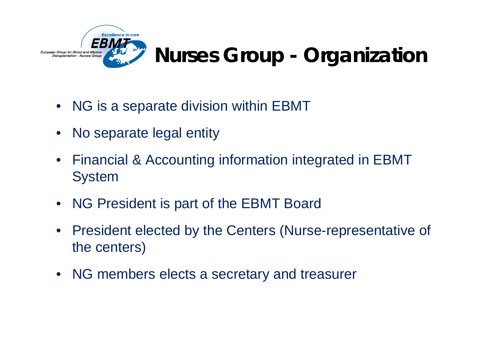

## **Nurses Group - Organization**

- $\bullet$ NG is a separate division within EBMT
- $\bullet$ No separate legal entity
- $\bullet$  Financial & Accounting information integrated in EBMT System
- $\bullet$ NG President is part of the EBMT Board
- $\bullet$  President elected by the Centers (Nurse-representative of the centers)
- •NG members elects a secretary and treasurer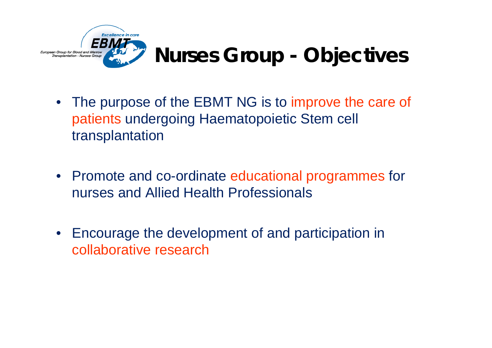

- The purpose of the EBMT NG is to improve the care of patients undergoing Haematopoietic Stem cell transplantation
- $\bullet$  Promote and co-ordinate educational programmes for nurses and Allied Health Professionals
- $\bullet$  Encourage the development of and participation in collaborative research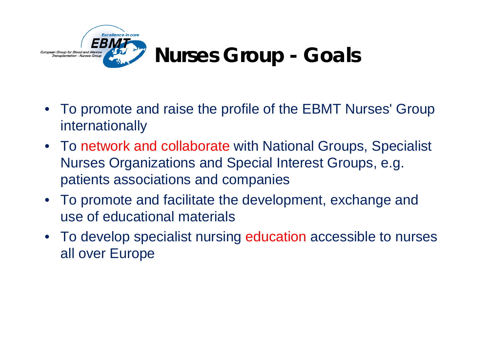

- • To promote and raise the profile of the EBMT Nurses' Group internationally
- To network and collaborate with National Groups, Specialist Nurses Organizations and Special Interest Groups, e.g. patients associations and companies
- To promote and facilitate the development, exchange and use of educational materials
- To develop specialist nursing education accessible to nurses all over Europe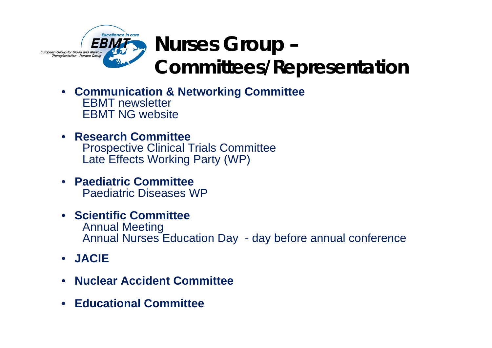

- **Communication & Networking Committee** EBMT newsletterEBMT NG website
- **Research Committee**Prospective Clinical Trials Committee Late Effects Working Party (WP)
- **Paediatric Committee**Paediatric Diseases WP
- **Scientific Committee**Annual Meeting Annual Nurses Education Day - day before annual conference
- **JACIE**
- •**Nuclear Accident Committee**
- •**Educational Committee**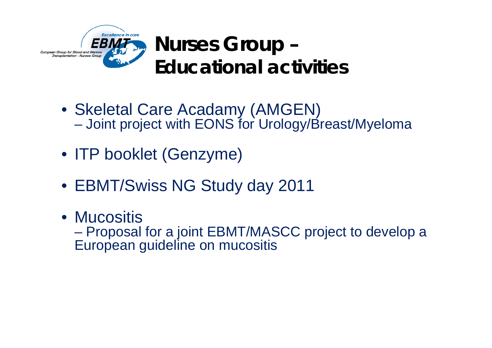

- Skeletal Care Acadamy (AMGEN) Joint project with EONS for Urology/Breast/Myeloma
- ITP booklet (Genzyme)
- EBMT/Swiss NG Study day 2011
- Mucositis**Hart Community**  Proposal for a joint EBMT/MASCC project to develop a European guideline on mucositis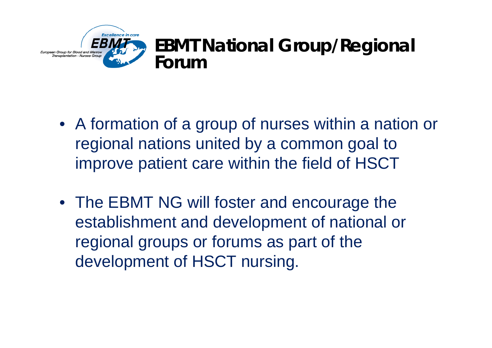

- A formation of a group of nurses within a nation or regional nations united by a common goal to improve patient care within the field of HSCT
- The EBMT NG will foster and encourage the establishment and development of national or regional groups or forums as part of the development of HSCT nursing.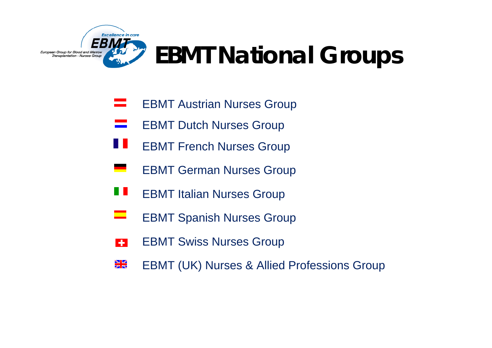

# **EBMT National Groups**

- EBMT Austrian Nurses Group =
- $\equiv$ EBMT Dutch Nurses Group
- 11 EBMT French Nurses Group
- EBMT German Nurses Group
- H H EBMT Italian Nurses Group
- ▅ EBMT Spanish Nurses Group
- EBMT Swiss Nurses Group  $\left| \cdot \right|$
- $\frac{\sum x_i}{\sum x_i}$ EBMT (UK) Nurses & Allied Professions Group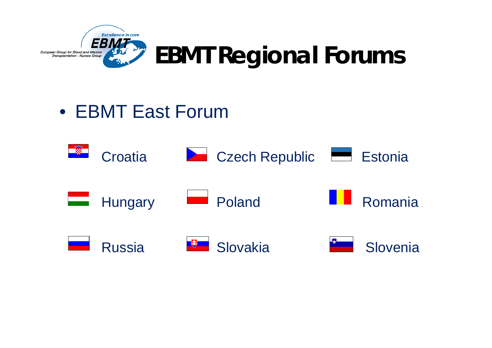

# **EBMT Regional Forums**

## • EBMT East Forum

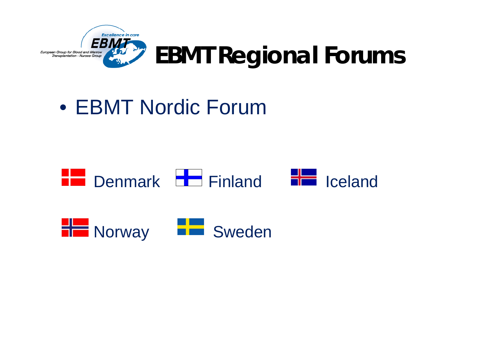

# **EBMT Regional Forums**

## • EBMT Nordic Forum



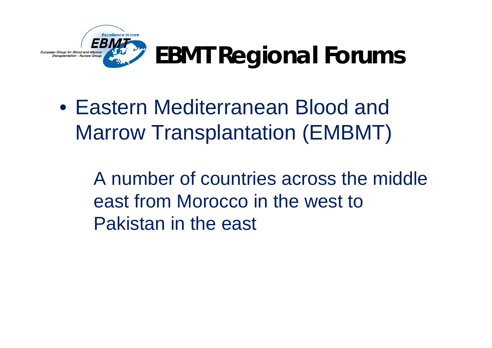

# **EBMT Regional Forums**

• Eastern Mediterranean Blood and Marrow Transplantation (EMBMT)

> A number of countries across the middle east from Morocco in the west to Pakistan in the east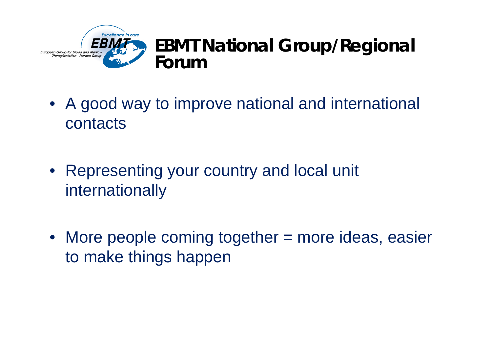

#### **EBMT National Group/Regional Forum**

- • A good way to improve national and international contacts
- Representing your country and local unit internationally
- •More people coming together = more ideas, easier to make things happen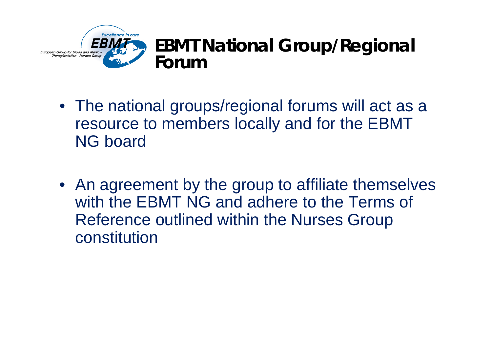

# **EBMT National Group/Regional**

- The national groups/regional forums will act as a resource to members locally and for the EBMT NG board
- An agreement by the group to affiliate themselves with the EBMT NG and adhere to the Terms of Reference outlined within the Nurses Group constitution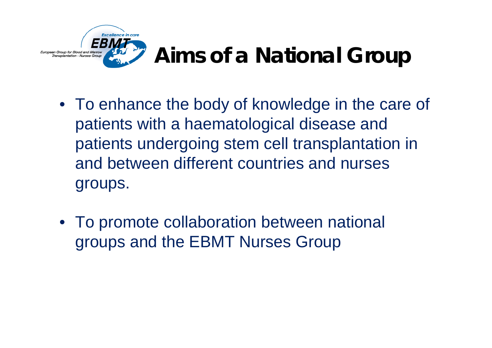

## **Aims of a National Group**

- To enhance the body of knowledge in the care of patients with a haematological disease and patients undergoing stem cell transplantation in and between different countries and nurses groups.
- To promote collaboration between national groups and the EBMT Nurses Group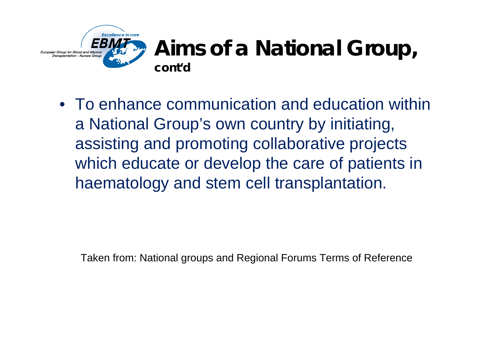

### **Aims of a National Group, cont'd**

• To enhance communication and education within a National Group's own country by initiating, assisting and promoting collaborative projects which educate or develop the care of patients in haematology and stem cell transplantation.

Taken from: National groups and Regional Forums Terms of Reference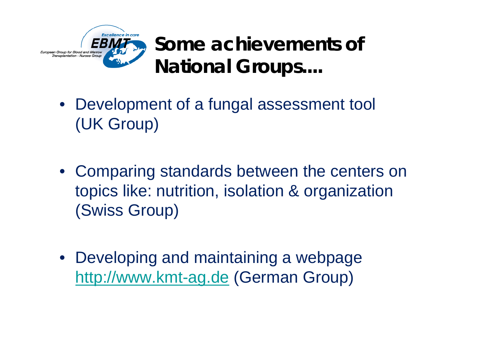

**Some achievements of National Groups....**

- Development of a fungal assessment tool (UK Group)
- Comparing standards between the centers on topics like: nutrition, isolation & organization (Swiss Group)
- Developing and maintaining a webpage [http://www.kmt-ag.de](http://www.kmt-ag.de/) (German Group)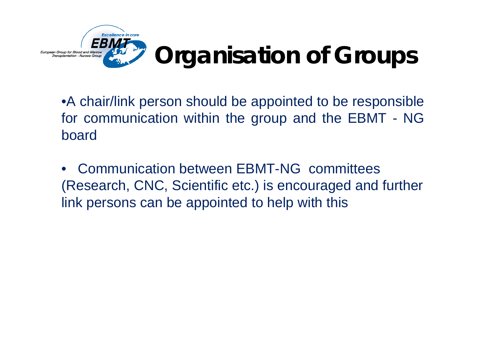

•A chair/link person should be appointed to be responsible for communication within the group and the EBMT - NG board

• Communication between EBMT-NG committees (Research, CNC, Scientific etc.) is encouraged and further link persons can be appointed to help with this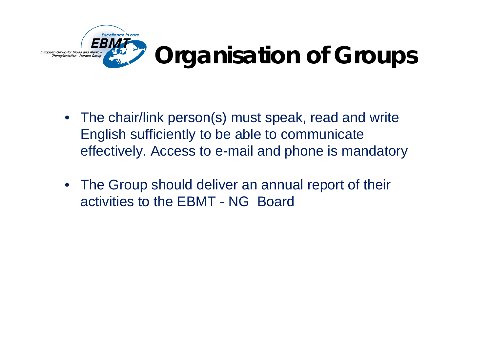

- The chair/link person(s) must speak, read and write English sufficiently to be able to communicate effectively. Access to e-mail and phone is mandatory
- The Group should deliver an annual report of their activities to the EBMT - NG Board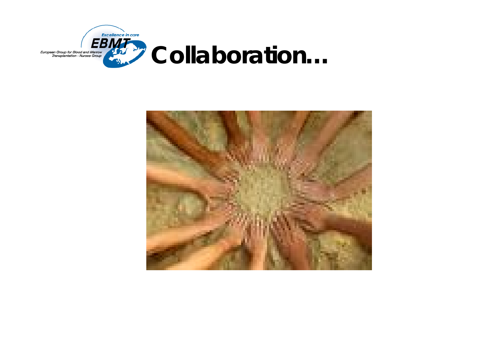